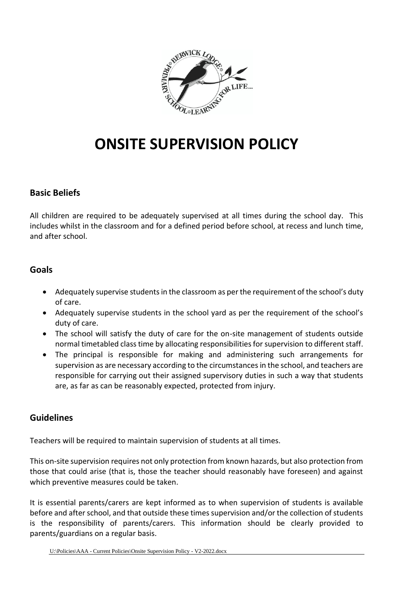

# **ONSITE SUPERVISION POLICY**

## **Basic Beliefs**

All children are required to be adequately supervised at all times during the school day. This includes whilst in the classroom and for a defined period before school, at recess and lunch time, and after school.

### **Goals**

- Adequately supervise students in the classroom as per the requirement of the school's duty of care.
- Adequately supervise students in the school yard as per the requirement of the school's duty of care.
- The school will satisfy the duty of care for the on-site management of students outside normal timetabled class time by allocating responsibilities for supervision to different staff.
- The principal is responsible for making and administering such arrangements for supervision as are necessary according to the circumstances in the school, and teachers are responsible for carrying out their assigned supervisory duties in such a way that students are, as far as can be reasonably expected, protected from injury.

## **Guidelines**

Teachers will be required to maintain supervision of students at all times.

This on-site supervision requires not only protection from known hazards, but also protection from those that could arise (that is, those the teacher should reasonably have foreseen) and against which preventive measures could be taken.

It is essential parents/carers are kept informed as to when supervision of students is available before and after school, and that outside these times supervision and/or the collection of students is the responsibility of parents/carers. This information should be clearly provided to parents/guardians on a regular basis.